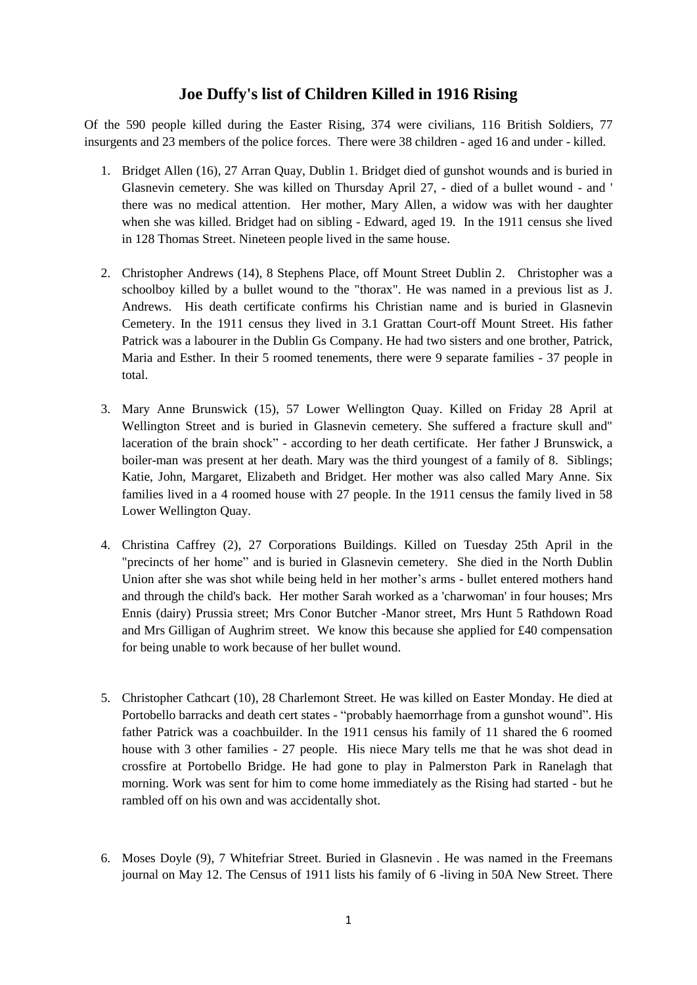## **Joe Duffy's list of Children Killed in 1916 Rising**

Of the 590 people killed during the Easter Rising, 374 were civilians, 116 British Soldiers, 77 insurgents and 23 members of the police forces. There were 38 children - aged 16 and under - killed.

- 1. Bridget Allen (16), 27 Arran Quay, Dublin 1. Bridget died of gunshot wounds and is buried in Glasnevin cemetery. She was killed on Thursday April 27, - died of a bullet wound - and ' there was no medical attention. Her mother, Mary Allen, a widow was with her daughter when she was killed. Bridget had on sibling - Edward, aged 19. In the 1911 census she lived in 128 Thomas Street. Nineteen people lived in the same house.
- 2. Christopher Andrews (14), 8 Stephens Place, off Mount Street Dublin 2. Christopher was a schoolboy killed by a bullet wound to the "thorax". He was named in a previous list as J. Andrews. His death certificate confirms his Christian name and is buried in Glasnevin Cemetery. In the 1911 census they lived in 3.1 Grattan Court-off Mount Street. His father Patrick was a labourer in the Dublin Gs Company. He had two sisters and one brother, Patrick, Maria and Esther. In their 5 roomed tenements, there were 9 separate families - 37 people in total.
- 3. Mary Anne Brunswick (15), 57 Lower Wellington Quay. Killed on Friday 28 April at Wellington Street and is buried in Glasnevin cemetery. She suffered a fracture skull and" laceration of the brain shock" - according to her death certificate. Her father J Brunswick, a boiler-man was present at her death. Mary was the third youngest of a family of 8. Siblings; Katie, John, Margaret, Elizabeth and Bridget. Her mother was also called Mary Anne. Six families lived in a 4 roomed house with 27 people. In the 1911 census the family lived in 58 Lower Wellington Quay.
- 4. Christina Caffrey (2), 27 Corporations Buildings. Killed on Tuesday 25th April in the "precincts of her home" and is buried in Glasnevin cemetery. She died in the North Dublin Union after she was shot while being held in her mother"s arms - bullet entered mothers hand and through the child's back. Her mother Sarah worked as a 'charwoman' in four houses; Mrs Ennis (dairy) Prussia street; Mrs Conor Butcher -Manor street, Mrs Hunt 5 Rathdown Road and Mrs Gilligan of Aughrim street. We know this because she applied for £40 compensation for being unable to work because of her bullet wound.
- 5. Christopher Cathcart (10), 28 Charlemont Street. He was killed on Easter Monday. He died at Portobello barracks and death cert states - "probably haemorrhage from a gunshot wound". His father Patrick was a coachbuilder. In the 1911 census his family of 11 shared the 6 roomed house with 3 other families - 27 people. His niece Mary tells me that he was shot dead in crossfire at Portobello Bridge. He had gone to play in Palmerston Park in Ranelagh that morning. Work was sent for him to come home immediately as the Rising had started - but he rambled off on his own and was accidentally shot.
- 6. Moses Doyle (9), 7 Whitefriar Street. Buried in Glasnevin . He was named in the Freemans journal on May 12. The Census of 1911 lists his family of 6 -living in 50A New Street. There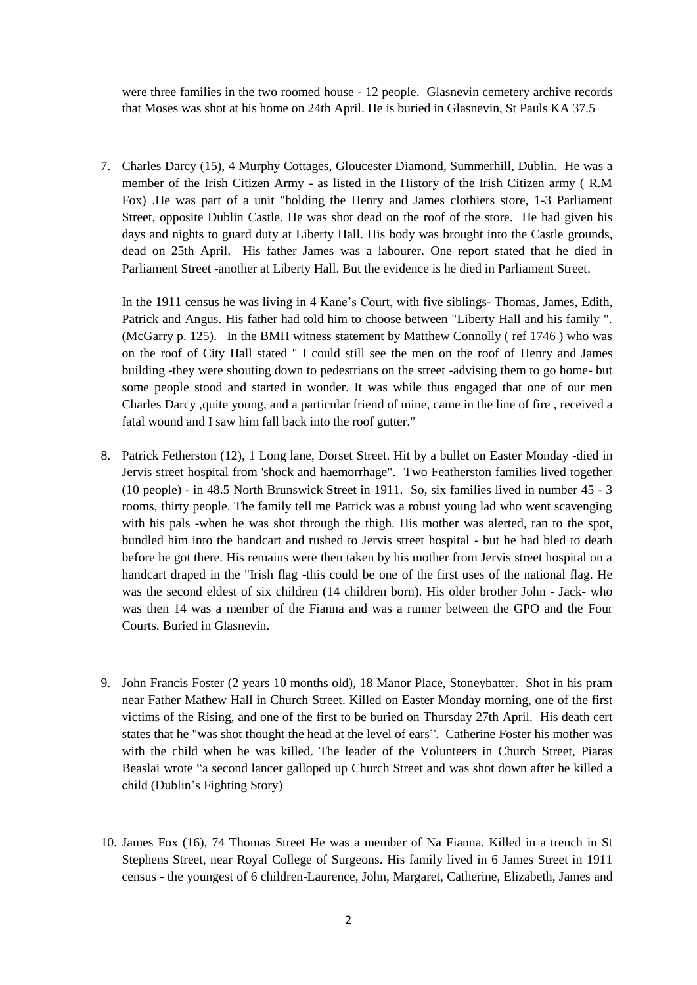were three families in the two roomed house - 12 people. Glasnevin cemetery archive records that Moses was shot at his home on 24th April. He is buried in Glasnevin, St Pauls KA 37.5

7. Charles Darcy (15), 4 Murphy Cottages, Gloucester Diamond, Summerhill, Dublin. He was a member of the Irish Citizen Army - as listed in the History of the Irish Citizen army ( R.M Fox) .He was part of a unit "holding the Henry and James clothiers store, 1-3 Parliament Street, opposite Dublin Castle. He was shot dead on the roof of the store. He had given his days and nights to guard duty at Liberty Hall. His body was brought into the Castle grounds, dead on 25th April. His father James was a labourer. One report stated that he died in Parliament Street -another at Liberty Hall. But the evidence is he died in Parliament Street.

In the 1911 census he was living in 4 Kane"s Court, with five siblings- Thomas, James, Edith, Patrick and Angus. His father had told him to choose between "Liberty Hall and his family ". (McGarry p. 125). In the BMH witness statement by Matthew Connolly ( ref 1746 ) who was on the roof of City Hall stated " I could still see the men on the roof of Henry and James building -they were shouting down to pedestrians on the street -advising them to go home- but some people stood and started in wonder. It was while thus engaged that one of our men Charles Darcy ,quite young, and a particular friend of mine, came in the line of fire , received a fatal wound and I saw him fall back into the roof gutter."

- 8. Patrick Fetherston (12), 1 Long lane, Dorset Street. Hit by a bullet on Easter Monday -died in Jervis street hospital from 'shock and haemorrhage". Two Featherston families lived together (10 people) - in 48.5 North Brunswick Street in 1911. So, six families lived in number 45 - 3 rooms, thirty people. The family tell me Patrick was a robust young lad who went scavenging with his pals -when he was shot through the thigh. His mother was alerted, ran to the spot, bundled him into the handcart and rushed to Jervis street hospital - but he had bled to death before he got there. His remains were then taken by his mother from Jervis street hospital on a handcart draped in the "Irish flag -this could be one of the first uses of the national flag. He was the second eldest of six children (14 children born). His older brother John - Jack- who was then 14 was a member of the Fianna and was a runner between the GPO and the Four Courts. Buried in Glasnevin.
- 9. John Francis Foster (2 years 10 months old), 18 Manor Place, Stoneybatter. Shot in his pram near Father Mathew Hall in Church Street. Killed on Easter Monday morning, one of the first victims of the Rising, and one of the first to be buried on Thursday 27th April. His death cert states that he "was shot thought the head at the level of ears". Catherine Foster his mother was with the child when he was killed. The leader of the Volunteers in Church Street, Piaras Beaslai wrote "a second lancer galloped up Church Street and was shot down after he killed a child (Dublin"s Fighting Story)
- 10. James Fox (16), 74 Thomas Street He was a member of Na Fianna. Killed in a trench in St Stephens Street, near Royal College of Surgeons. His family lived in 6 James Street in 1911 census - the youngest of 6 children-Laurence, John, Margaret, Catherine, Elizabeth, James and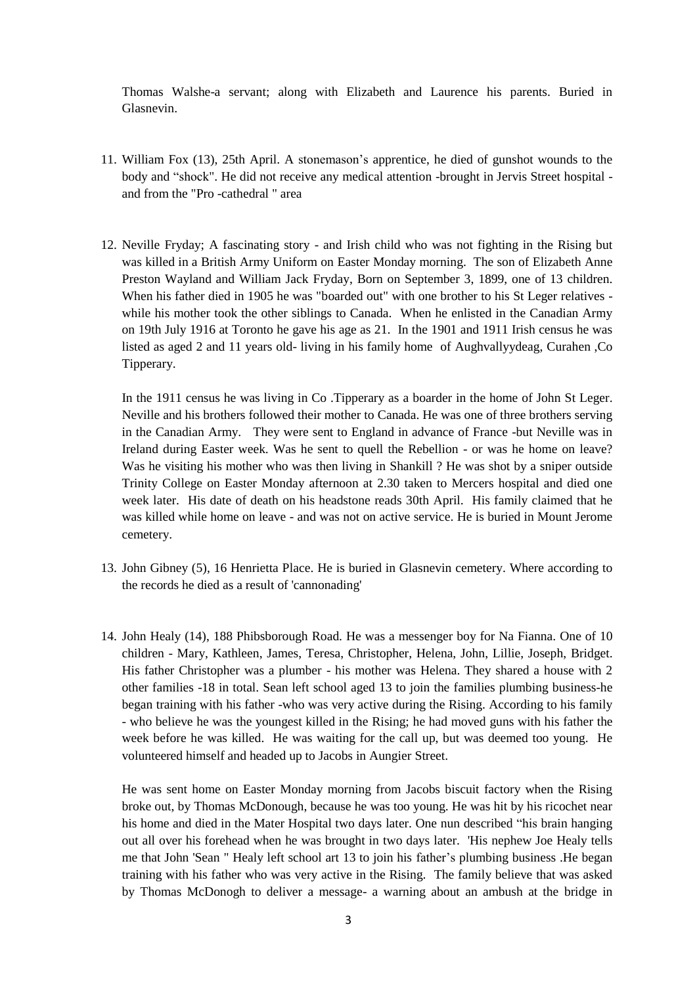Thomas Walshe-a servant; along with Elizabeth and Laurence his parents. Buried in Glasnevin.

- 11. William Fox (13), 25th April. A stonemason"s apprentice, he died of gunshot wounds to the body and "shock". He did not receive any medical attention -brought in Jervis Street hospital and from the "Pro -cathedral " area
- 12. Neville Fryday; A fascinating story and Irish child who was not fighting in the Rising but was killed in a British Army Uniform on Easter Monday morning. The son of Elizabeth Anne Preston Wayland and William Jack Fryday, Born on September 3, 1899, one of 13 children. When his father died in 1905 he was "boarded out" with one brother to his St Leger relatives while his mother took the other siblings to Canada. When he enlisted in the Canadian Army on 19th July 1916 at Toronto he gave his age as 21. In the 1901 and 1911 Irish census he was listed as aged 2 and 11 years old- living in his family home of Aughvallyydeag, Curahen ,Co Tipperary.

In the 1911 census he was living in Co .Tipperary as a boarder in the home of John St Leger. Neville and his brothers followed their mother to Canada. He was one of three brothers serving in the Canadian Army. They were sent to England in advance of France -but Neville was in Ireland during Easter week. Was he sent to quell the Rebellion - or was he home on leave? Was he visiting his mother who was then living in Shankill ? He was shot by a sniper outside Trinity College on Easter Monday afternoon at 2.30 taken to Mercers hospital and died one week later. His date of death on his headstone reads 30th April. His family claimed that he was killed while home on leave - and was not on active service. He is buried in Mount Jerome cemetery.

- 13. John Gibney (5), 16 Henrietta Place. He is buried in Glasnevin cemetery. Where according to the records he died as a result of 'cannonading'
- 14. John Healy (14), 188 Phibsborough Road. He was a messenger boy for Na Fianna. One of 10 children - Mary, Kathleen, James, Teresa, Christopher, Helena, John, Lillie, Joseph, Bridget. His father Christopher was a plumber - his mother was Helena. They shared a house with 2 other families -18 in total. Sean left school aged 13 to join the families plumbing business-he began training with his father -who was very active during the Rising. According to his family - who believe he was the youngest killed in the Rising; he had moved guns with his father the week before he was killed. He was waiting for the call up, but was deemed too young. He volunteered himself and headed up to Jacobs in Aungier Street.

He was sent home on Easter Monday morning from Jacobs biscuit factory when the Rising broke out, by Thomas McDonough, because he was too young. He was hit by his ricochet near his home and died in the Mater Hospital two days later. One nun described "his brain hanging out all over his forehead when he was brought in two days later. 'His nephew Joe Healy tells me that John 'Sean " Healy left school art 13 to join his father"s plumbing business .He began training with his father who was very active in the Rising. The family believe that was asked by Thomas McDonogh to deliver a message- a warning about an ambush at the bridge in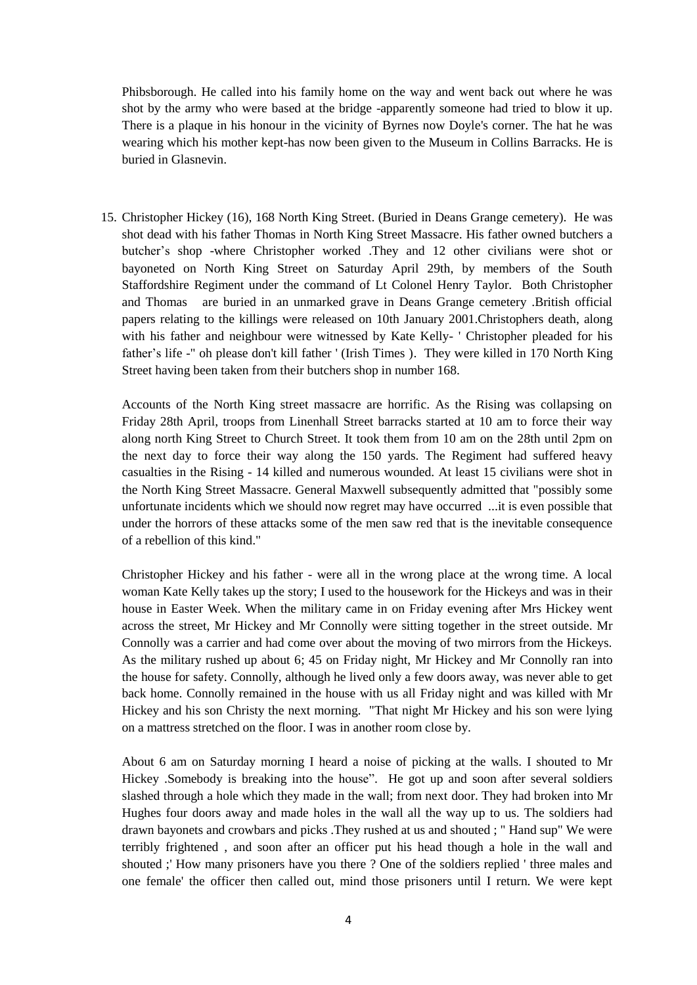Phibsborough. He called into his family home on the way and went back out where he was shot by the army who were based at the bridge -apparently someone had tried to blow it up. There is a plaque in his honour in the vicinity of Byrnes now Doyle's corner. The hat he was wearing which his mother kept-has now been given to the Museum in Collins Barracks. He is buried in Glasnevin.

15. Christopher Hickey (16), 168 North King Street. (Buried in Deans Grange cemetery). He was shot dead with his father Thomas in North King Street Massacre. His father owned butchers a butcher"s shop -where Christopher worked .They and 12 other civilians were shot or bayoneted on North King Street on Saturday April 29th, by members of the South Staffordshire Regiment under the command of Lt Colonel Henry Taylor. Both Christopher and Thomas are buried in an unmarked grave in Deans Grange cemetery .British official papers relating to the killings were released on 10th January 2001.Christophers death, along with his father and neighbour were witnessed by Kate Kelly- ' Christopher pleaded for his father"s life -" oh please don't kill father ' (Irish Times ). They were killed in 170 North King Street having been taken from their butchers shop in number 168.

Accounts of the North King street massacre are horrific. As the Rising was collapsing on Friday 28th April, troops from Linenhall Street barracks started at 10 am to force their way along north King Street to Church Street. It took them from 10 am on the 28th until 2pm on the next day to force their way along the 150 yards. The Regiment had suffered heavy casualties in the Rising - 14 killed and numerous wounded. At least 15 civilians were shot in the North King Street Massacre. General Maxwell subsequently admitted that "possibly some unfortunate incidents which we should now regret may have occurred ...it is even possible that under the horrors of these attacks some of the men saw red that is the inevitable consequence of a rebellion of this kind."

Christopher Hickey and his father - were all in the wrong place at the wrong time. A local woman Kate Kelly takes up the story; I used to the housework for the Hickeys and was in their house in Easter Week. When the military came in on Friday evening after Mrs Hickey went across the street, Mr Hickey and Mr Connolly were sitting together in the street outside. Mr Connolly was a carrier and had come over about the moving of two mirrors from the Hickeys. As the military rushed up about 6; 45 on Friday night, Mr Hickey and Mr Connolly ran into the house for safety. Connolly, although he lived only a few doors away, was never able to get back home. Connolly remained in the house with us all Friday night and was killed with Mr Hickey and his son Christy the next morning. "That night Mr Hickey and his son were lying on a mattress stretched on the floor. I was in another room close by.

About 6 am on Saturday morning I heard a noise of picking at the walls. I shouted to Mr Hickey .Somebody is breaking into the house". He got up and soon after several soldiers slashed through a hole which they made in the wall; from next door. They had broken into Mr Hughes four doors away and made holes in the wall all the way up to us. The soldiers had drawn bayonets and crowbars and picks .They rushed at us and shouted ; " Hand sup" We were terribly frightened , and soon after an officer put his head though a hole in the wall and shouted ;' How many prisoners have you there ? One of the soldiers replied ' three males and one female' the officer then called out, mind those prisoners until I return. We were kept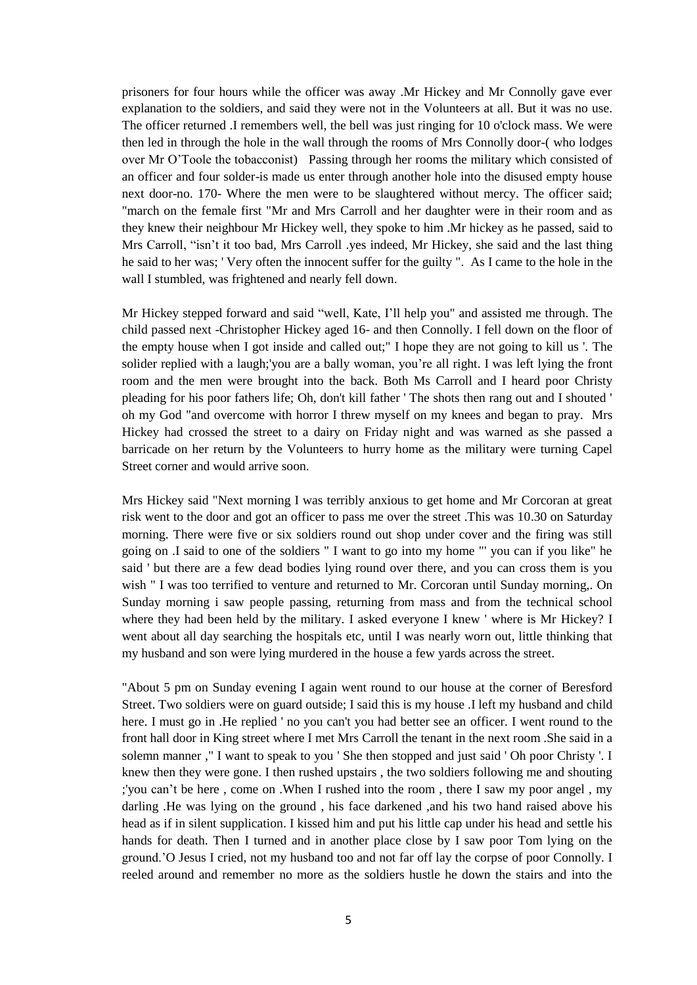prisoners for four hours while the officer was away .Mr Hickey and Mr Connolly gave ever explanation to the soldiers, and said they were not in the Volunteers at all. But it was no use. The officer returned .I remembers well, the bell was just ringing for 10 o'clock mass. We were then led in through the hole in the wall through the rooms of Mrs Connolly door-( who lodges over Mr O"Toole the tobacconist) Passing through her rooms the military which consisted of an officer and four solder-is made us enter through another hole into the disused empty house next door-no. 170- Where the men were to be slaughtered without mercy. The officer said; "march on the female first "Mr and Mrs Carroll and her daughter were in their room and as they knew their neighbour Mr Hickey well, they spoke to him .Mr hickey as he passed, said to Mrs Carroll, "isn"t it too bad, Mrs Carroll .yes indeed, Mr Hickey, she said and the last thing he said to her was; ' Very often the innocent suffer for the guilty ". As I came to the hole in the wall I stumbled, was frightened and nearly fell down.

Mr Hickey stepped forward and said "well, Kate, I"ll help you" and assisted me through. The child passed next -Christopher Hickey aged 16- and then Connolly. I fell down on the floor of the empty house when I got inside and called out;" I hope they are not going to kill us '. The solider replied with a laugh;'you are a bally woman, you"re all right. I was left lying the front room and the men were brought into the back. Both Ms Carroll and I heard poor Christy pleading for his poor fathers life; Oh, don't kill father ' The shots then rang out and I shouted ' oh my God "and overcome with horror I threw myself on my knees and began to pray. Mrs Hickey had crossed the street to a dairy on Friday night and was warned as she passed a barricade on her return by the Volunteers to hurry home as the military were turning Capel Street corner and would arrive soon.

Mrs Hickey said "Next morning I was terribly anxious to get home and Mr Corcoran at great risk went to the door and got an officer to pass me over the street .This was 10.30 on Saturday morning. There were five or six soldiers round out shop under cover and the firing was still going on .I said to one of the soldiers " I want to go into my home "' you can if you like" he said ' but there are a few dead bodies lying round over there, and you can cross them is you wish " I was too terrified to venture and returned to Mr. Corcoran until Sunday morning,. On Sunday morning i saw people passing, returning from mass and from the technical school where they had been held by the military. I asked everyone I knew ' where is Mr Hickey? I went about all day searching the hospitals etc, until I was nearly worn out, little thinking that my husband and son were lying murdered in the house a few yards across the street.

"About 5 pm on Sunday evening I again went round to our house at the corner of Beresford Street. Two soldiers were on guard outside; I said this is my house .I left my husband and child here. I must go in .He replied ' no you can't you had better see an officer. I went round to the front hall door in King street where I met Mrs Carroll the tenant in the next room .She said in a solemn manner ," I want to speak to you ' She then stopped and just said ' Oh poor Christy '. I knew then they were gone. I then rushed upstairs , the two soldiers following me and shouting ;'you can"t be here , come on .When I rushed into the room , there I saw my poor angel , my darling .He was lying on the ground , his face darkened ,and his two hand raised above his head as if in silent supplication. I kissed him and put his little cap under his head and settle his hands for death. Then I turned and in another place close by I saw poor Tom lying on the ground."O Jesus I cried, not my husband too and not far off lay the corpse of poor Connolly. I reeled around and remember no more as the soldiers hustle he down the stairs and into the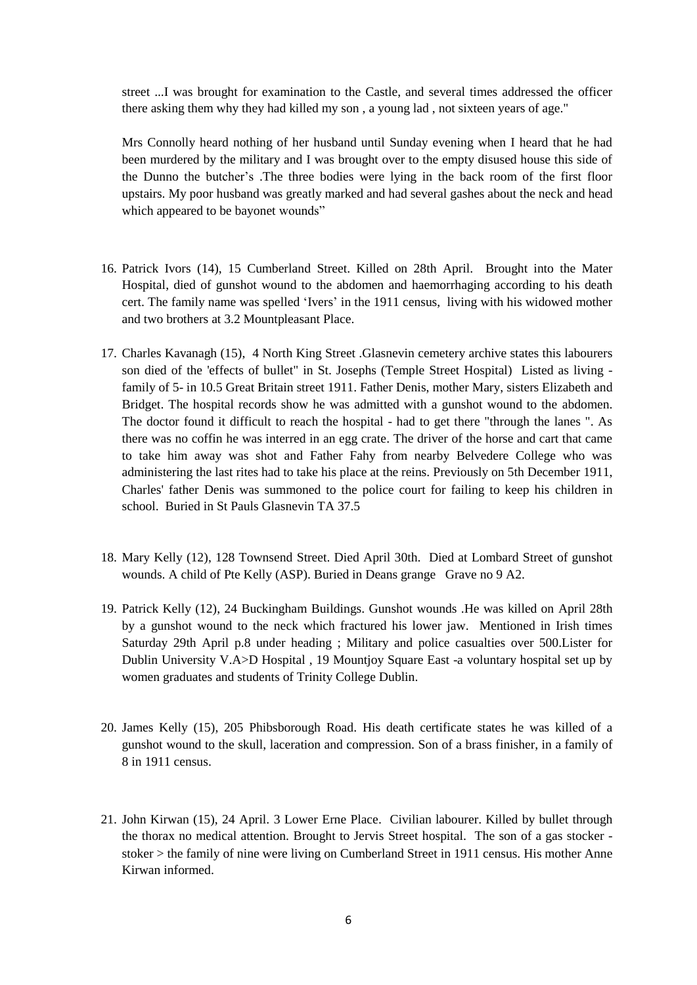street ...I was brought for examination to the Castle, and several times addressed the officer there asking them why they had killed my son , a young lad , not sixteen years of age."

Mrs Connolly heard nothing of her husband until Sunday evening when I heard that he had been murdered by the military and I was brought over to the empty disused house this side of the Dunno the butcher"s .The three bodies were lying in the back room of the first floor upstairs. My poor husband was greatly marked and had several gashes about the neck and head which appeared to be bayonet wounds"

- 16. Patrick Ivors (14), 15 Cumberland Street. Killed on 28th April. Brought into the Mater Hospital, died of gunshot wound to the abdomen and haemorrhaging according to his death cert. The family name was spelled "Ivers" in the 1911 census, living with his widowed mother and two brothers at 3.2 Mountpleasant Place.
- 17. Charles Kavanagh (15), 4 North King Street .Glasnevin cemetery archive states this labourers son died of the 'effects of bullet" in St. Josephs (Temple Street Hospital) Listed as living family of 5- in 10.5 Great Britain street 1911. Father Denis, mother Mary, sisters Elizabeth and Bridget. The hospital records show he was admitted with a gunshot wound to the abdomen. The doctor found it difficult to reach the hospital - had to get there "through the lanes ". As there was no coffin he was interred in an egg crate. The driver of the horse and cart that came to take him away was shot and Father Fahy from nearby Belvedere College who was administering the last rites had to take his place at the reins. Previously on 5th December 1911, Charles' father Denis was summoned to the police court for failing to keep his children in school. Buried in St Pauls Glasnevin TA 37.5
- 18. Mary Kelly (12), 128 Townsend Street. Died April 30th. Died at Lombard Street of gunshot wounds. A child of Pte Kelly (ASP). Buried in Deans grange Grave no 9 A2.
- 19. Patrick Kelly (12), 24 Buckingham Buildings. Gunshot wounds .He was killed on April 28th by a gunshot wound to the neck which fractured his lower jaw. Mentioned in Irish times Saturday 29th April p.8 under heading ; Military and police casualties over 500.Lister for Dublin University V.A>D Hospital , 19 Mountjoy Square East -a voluntary hospital set up by women graduates and students of Trinity College Dublin.
- 20. James Kelly (15), 205 Phibsborough Road. His death certificate states he was killed of a gunshot wound to the skull, laceration and compression. Son of a brass finisher, in a family of 8 in 1911 census.
- 21. John Kirwan (15), 24 April. 3 Lower Erne Place. Civilian labourer. Killed by bullet through the thorax no medical attention. Brought to Jervis Street hospital. The son of a gas stocker stoker > the family of nine were living on Cumberland Street in 1911 census. His mother Anne Kirwan informed.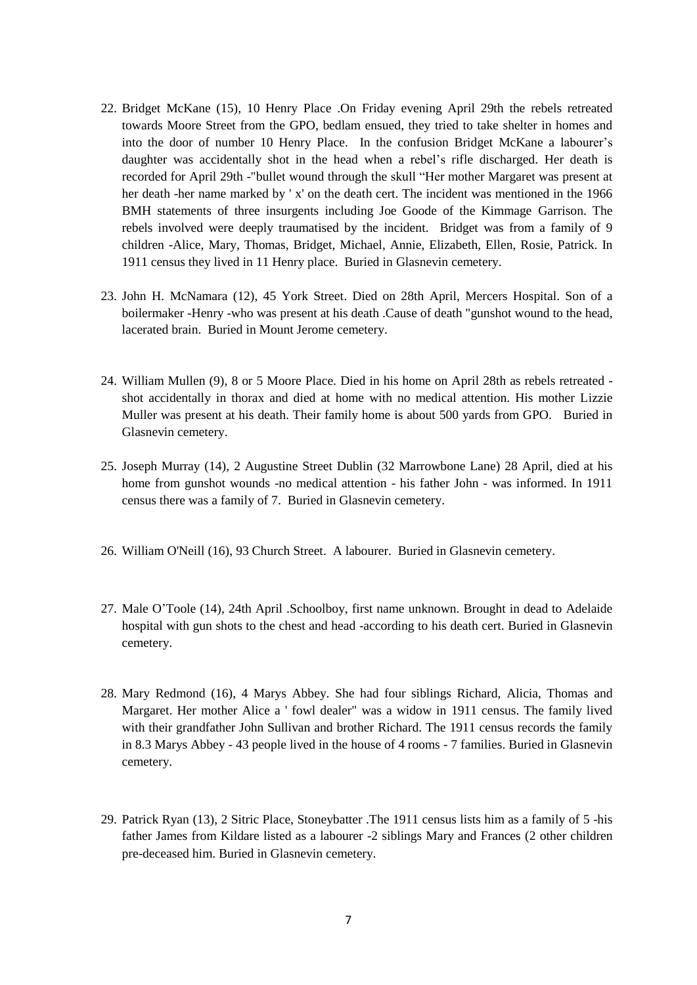- 22. Bridget McKane (15), 10 Henry Place .On Friday evening April 29th the rebels retreated towards Moore Street from the GPO, bedlam ensued, they tried to take shelter in homes and into the door of number 10 Henry Place. In the confusion Bridget McKane a labourer"s daughter was accidentally shot in the head when a rebel"s rifle discharged. Her death is recorded for April 29th -"bullet wound through the skull "Her mother Margaret was present at her death -her name marked by ' x' on the death cert. The incident was mentioned in the 1966 BMH statements of three insurgents including Joe Goode of the Kimmage Garrison. The rebels involved were deeply traumatised by the incident. Bridget was from a family of 9 children -Alice, Mary, Thomas, Bridget, Michael, Annie, Elizabeth, Ellen, Rosie, Patrick. In 1911 census they lived in 11 Henry place. Buried in Glasnevin cemetery.
- 23. John H. McNamara (12), 45 York Street. Died on 28th April, Mercers Hospital. Son of a boilermaker -Henry -who was present at his death .Cause of death "gunshot wound to the head, lacerated brain. Buried in Mount Jerome cemetery.
- 24. William Mullen (9), 8 or 5 Moore Place. Died in his home on April 28th as rebels retreated shot accidentally in thorax and died at home with no medical attention. His mother Lizzie Muller was present at his death. Their family home is about 500 yards from GPO. Buried in Glasnevin cemetery.
- 25. Joseph Murray (14), 2 Augustine Street Dublin (32 Marrowbone Lane) 28 April, died at his home from gunshot wounds -no medical attention - his father John - was informed. In 1911 census there was a family of 7. Buried in Glasnevin cemetery.
- 26. William O'Neill (16), 93 Church Street. A labourer. Buried in Glasnevin cemetery.
- 27. Male O"Toole (14), 24th April .Schoolboy, first name unknown. Brought in dead to Adelaide hospital with gun shots to the chest and head -according to his death cert. Buried in Glasnevin cemetery.
- 28. Mary Redmond (16), 4 Marys Abbey. She had four siblings Richard, Alicia, Thomas and Margaret. Her mother Alice a ' fowl dealer" was a widow in 1911 census. The family lived with their grandfather John Sullivan and brother Richard. The 1911 census records the family in 8.3 Marys Abbey - 43 people lived in the house of 4 rooms - 7 families. Buried in Glasnevin cemetery.
- 29. Patrick Ryan (13), 2 Sitric Place, Stoneybatter .The 1911 census lists him as a family of 5 -his father James from Kildare listed as a labourer -2 siblings Mary and Frances (2 other children pre-deceased him. Buried in Glasnevin cemetery.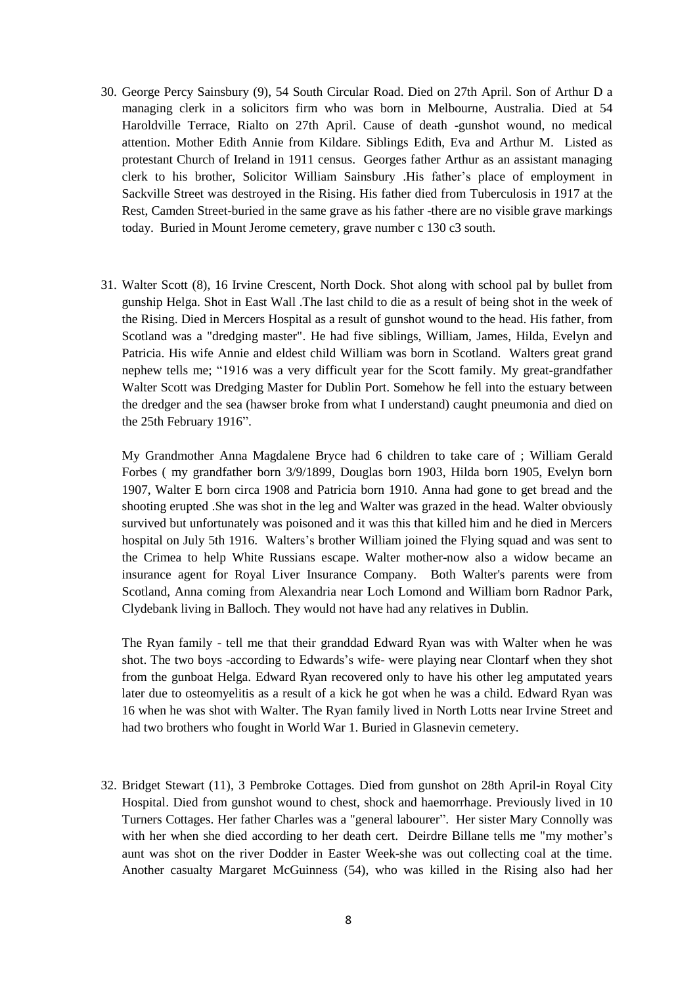- 30. George Percy Sainsbury (9), 54 South Circular Road. Died on 27th April. Son of Arthur D a managing clerk in a solicitors firm who was born in Melbourne, Australia. Died at 54 Haroldville Terrace, Rialto on 27th April. Cause of death -gunshot wound, no medical attention. Mother Edith Annie from Kildare. Siblings Edith, Eva and Arthur M. Listed as protestant Church of Ireland in 1911 census. Georges father Arthur as an assistant managing clerk to his brother, Solicitor William Sainsbury .His father"s place of employment in Sackville Street was destroyed in the Rising. His father died from Tuberculosis in 1917 at the Rest, Camden Street-buried in the same grave as his father -there are no visible grave markings today. Buried in Mount Jerome cemetery, grave number c 130 c3 south.
- 31. Walter Scott (8), 16 Irvine Crescent, North Dock. Shot along with school pal by bullet from gunship Helga. Shot in East Wall .The last child to die as a result of being shot in the week of the Rising. Died in Mercers Hospital as a result of gunshot wound to the head. His father, from Scotland was a "dredging master". He had five siblings, William, James, Hilda, Evelyn and Patricia. His wife Annie and eldest child William was born in Scotland. Walters great grand nephew tells me; "1916 was a very difficult year for the Scott family. My great-grandfather Walter Scott was Dredging Master for Dublin Port. Somehow he fell into the estuary between the dredger and the sea (hawser broke from what I understand) caught pneumonia and died on the 25th February 1916".

My Grandmother Anna Magdalene Bryce had 6 children to take care of ; William Gerald Forbes ( my grandfather born 3/9/1899, Douglas born 1903, Hilda born 1905, Evelyn born 1907, Walter E born circa 1908 and Patricia born 1910. Anna had gone to get bread and the shooting erupted .She was shot in the leg and Walter was grazed in the head. Walter obviously survived but unfortunately was poisoned and it was this that killed him and he died in Mercers hospital on July 5th 1916. Walters"s brother William joined the Flying squad and was sent to the Crimea to help White Russians escape. Walter mother-now also a widow became an insurance agent for Royal Liver Insurance Company. Both Walter's parents were from Scotland, Anna coming from Alexandria near Loch Lomond and William born Radnor Park, Clydebank living in Balloch. They would not have had any relatives in Dublin.

The Ryan family - tell me that their granddad Edward Ryan was with Walter when he was shot. The two boys -according to Edwards"s wife- were playing near Clontarf when they shot from the gunboat Helga. Edward Ryan recovered only to have his other leg amputated years later due to osteomyelitis as a result of a kick he got when he was a child. Edward Ryan was 16 when he was shot with Walter. The Ryan family lived in North Lotts near Irvine Street and had two brothers who fought in World War 1. Buried in Glasnevin cemetery.

32. Bridget Stewart (11), 3 Pembroke Cottages. Died from gunshot on 28th April-in Royal City Hospital. Died from gunshot wound to chest, shock and haemorrhage. Previously lived in 10 Turners Cottages. Her father Charles was a "general labourer". Her sister Mary Connolly was with her when she died according to her death cert. Deirdre Billane tells me "my mother"s aunt was shot on the river Dodder in Easter Week-she was out collecting coal at the time. Another casualty Margaret McGuinness (54), who was killed in the Rising also had her